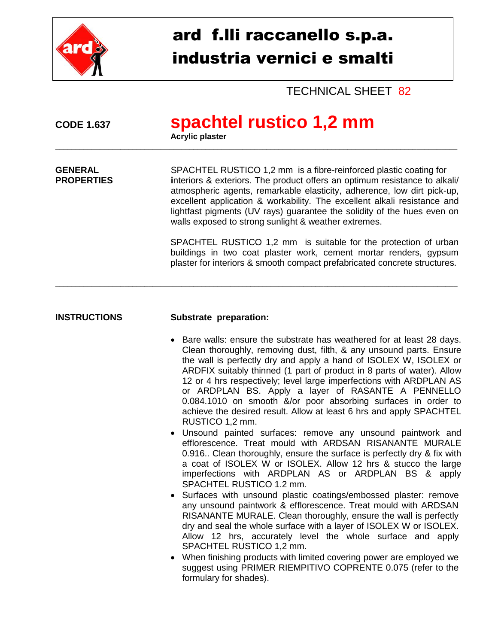

# ard f.lli raccanello s.p.a. industria vernici e smalti

TECHNICAL SHEET 82

| <b>CODE 1.637</b>                   | spachtel rustico 1,2 mm<br><b>Acrylic plaster</b>                                                                                                                                                                                                                                                                                                                                                                                         |  |  |
|-------------------------------------|-------------------------------------------------------------------------------------------------------------------------------------------------------------------------------------------------------------------------------------------------------------------------------------------------------------------------------------------------------------------------------------------------------------------------------------------|--|--|
| <b>GENERAL</b><br><b>PROPERTIES</b> | SPACHTEL RUSTICO 1,2 mm is a fibre-reinforced plastic coating for<br>interiors & exteriors. The product offers an optimum resistance to alkali/<br>atmospheric agents, remarkable elasticity, adherence, low dirt pick-up,<br>excellent application & workability. The excellent alkali resistance and<br>lightfast pigments (UV rays) guarantee the solidity of the hues even on<br>walls exposed to strong sunlight & weather extremes. |  |  |
|                                     | SPACHTEL RUSTICO 1,2 mm is suitable for the protection of urban<br>buildings in two coat plaster work, cement mortar renders, gypsum<br>plaster for interiors & smooth compact prefabricated concrete structures.                                                                                                                                                                                                                         |  |  |

### **INSTRUCTIONS Substrate preparation:**

- Bare walls: ensure the substrate has weathered for at least 28 days. Clean thoroughly, removing dust, filth, & any unsound parts. Ensure the wall is perfectly dry and apply a hand of ISOLEX W, ISOLEX or ARDFIX suitably thinned (1 part of product in 8 parts of water). Allow 12 or 4 hrs respectively; level large imperfections with ARDPLAN AS or ARDPLAN BS. Apply a layer of RASANTE A PENNELLO 0.084.1010 on smooth &/or poor absorbing surfaces in order to achieve the desired result. Allow at least 6 hrs and apply SPACHTEL RUSTICO 1,2 mm.
- Unsound painted surfaces: remove any unsound paintwork and efflorescence. Treat mould with ARDSAN RISANANTE MURALE 0.916.. Clean thoroughly, ensure the surface is perfectly dry & fix with a coat of ISOLEX W or ISOLEX. Allow 12 hrs & stucco the large imperfections with ARDPLAN AS or ARDPLAN BS & apply SPACHTEL RUSTICO 1.2 mm.
- Surfaces with unsound plastic coatings/embossed plaster: remove any unsound paintwork & efflorescence. Treat mould with ARDSAN RISANANTE MURALE. Clean thoroughly, ensure the wall is perfectly dry and seal the whole surface with a layer of ISOLEX W or ISOLEX. Allow 12 hrs, accurately level the whole surface and apply SPACHTEL RUSTICO 1,2 mm.
- When finishing products with limited covering power are employed we suggest using PRIMER RIEMPITIVO COPRENTE 0.075 (refer to the formulary for shades).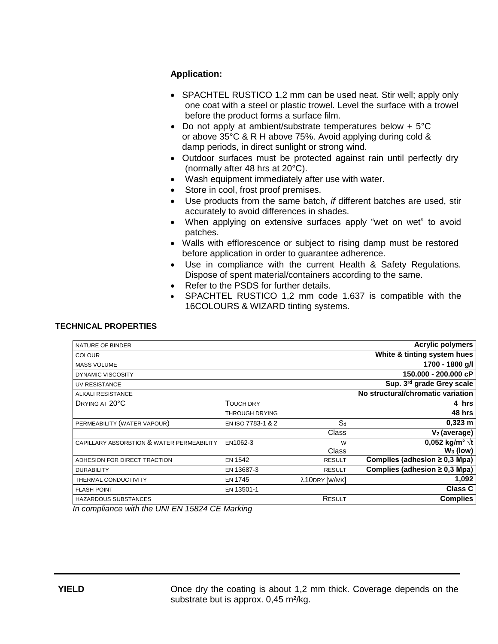## **Application:**

- SPACHTEL RUSTICO 1,2 mm can be used neat. Stir well; apply only one coat with a steel or plastic trowel. Level the surface with a trowel before the product forms a surface film.
- Do not apply at ambient/substrate temperatures below + 5°C or above 35°C & R H above 75%. Avoid applying during cold & damp periods, in direct sunlight or strong wind.
- Outdoor surfaces must be protected against rain until perfectly dry (normally after 48 hrs at 20°C).
- Wash equipment immediately after use with water.
- Store in cool, frost proof premises.
- Use products from the same batch, *if* different batches are used, stir accurately to avoid differences in shades.
- When applying on extensive surfaces apply "wet on wet" to avoid patches.
- Walls with efflorescence or subject to rising damp must be restored before application in order to guarantee adherence.
- Use in compliance with the current Health & Safety Regulations. Dispose of spent material/containers according to the same.
- Refer to the PSDS for further details.
- SPACHTEL RUSTICO 1,2 mm code 1.637 is compatible with the 16COLOURS & WIZARD tinting systems.

#### **TECHNICAL PROPERTIES**

| NATURE OF BINDER                          |                   |               | <b>Acrylic polymers</b>            |
|-------------------------------------------|-------------------|---------------|------------------------------------|
| <b>COLOUR</b>                             |                   |               | White & tinting system hues        |
| <b>MASS VOLUME</b>                        |                   |               | 1700 - 1800 g/l                    |
| DYNAMIC VISCOSITY                         |                   |               | 150.000 - 200.000 cP               |
| UV RESISTANCE                             |                   |               | Sup. 3rd grade Grey scale          |
| ALKALI RESISTANCE                         |                   |               | No structural/chromatic variation  |
| DRYING AT 20°C                            | TOUCH DRY         |               | 4 hrs                              |
|                                           | THROUGH DRYING    |               | 48 hrs                             |
| PERMEABILITY (WATER VAPOUR)               | EN ISO 7783-1 & 2 | $S_d$         | $0,323 \; m$                       |
|                                           |                   | Class         | $V2$ (average)                     |
| CAPILLARY ABSORBTION & WATER PERMEABILITY | EN1062-3          | W             | 0,052 kg/m <sup>2</sup> $\sqrt{t}$ |
|                                           |                   | Class         | $W_3$ (low)                        |
| ADHESION FOR DIRECT TRACTION              | <b>EN 1542</b>    | <b>RESULT</b> | Complies (adhesion $\geq$ 0,3 Mpa) |
| <b>DURABILITY</b>                         | EN 13687-3        | <b>RESULT</b> | Complies (adhesion $\geq$ 0.3 Mpa) |
| THERMAL CONDUCTIVITY                      | <b>EN 1745</b>    | λ10DRY [W/MK] | 1,092                              |
| <b>FLASH POINT</b>                        | EN 13501-1        |               | <b>Class C</b>                     |
| HAZARDOUS SUBSTANCES                      |                   | RESULT        | <b>Complies</b>                    |
|                                           |                   |               |                                    |

*In compliance with the UNI EN 15824 CE Marking*